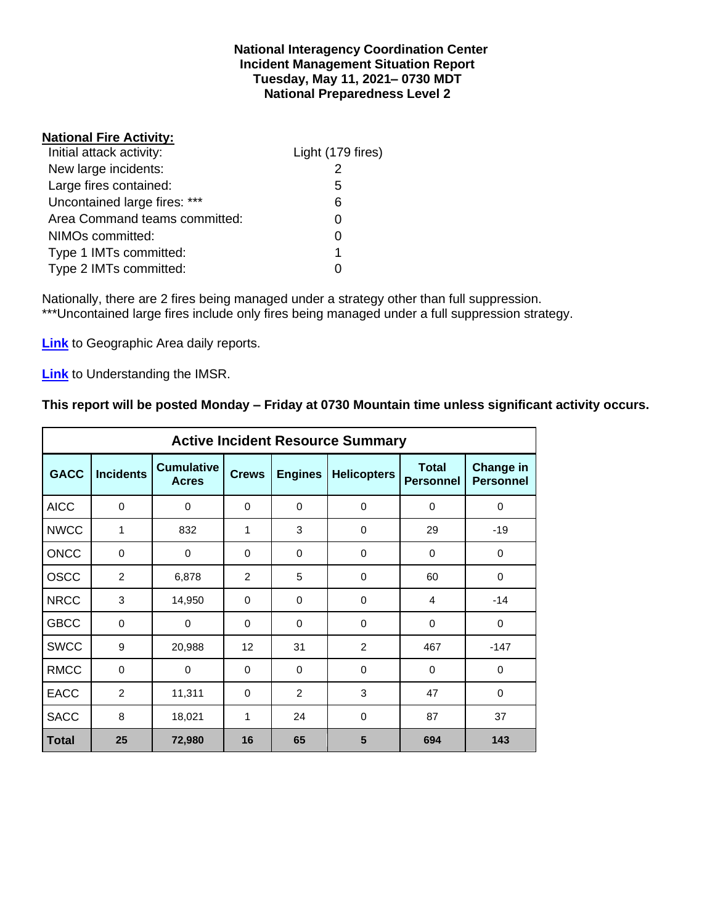#### **National Interagency Coordination Center Incident Management Situation Report Tuesday, May 11, 2021– 0730 MDT National Preparedness Level 2**

### **National Fire Activity:**

| Initial attack activity:      | Light (179 fires) |
|-------------------------------|-------------------|
| New large incidents:          |                   |
| Large fires contained:        | 5                 |
| Uncontained large fires: ***  | 6                 |
| Area Command teams committed: |                   |
| NIMOs committed:              |                   |
| Type 1 IMTs committed:        | 1                 |
| Type 2 IMTs committed:        |                   |

Nationally, there are 2 fires being managed under a strategy other than full suppression. \*\*\*Uncontained large fires include only fires being managed under a full suppression strategy.

**[Link](http://www.nifc.gov/nicc/predictive/statelinks.htm)** to Geographic Area daily reports.

**[Link](https://www.predictiveservices.nifc.gov/intelligence/Understanding%20the%20IMSR%202019.pdf)** to Understanding the IMSR.

### **This report will be posted Monday – Friday at 0730 Mountain time unless significant activity occurs.**

|              |                  |                                   |                 |                | <b>Active Incident Resource Summary</b> |                                  |                                      |
|--------------|------------------|-----------------------------------|-----------------|----------------|-----------------------------------------|----------------------------------|--------------------------------------|
| <b>GACC</b>  | <b>Incidents</b> | <b>Cumulative</b><br><b>Acres</b> | <b>Crews</b>    | <b>Engines</b> | <b>Helicopters</b>                      | <b>Total</b><br><b>Personnel</b> | <b>Change in</b><br><b>Personnel</b> |
| <b>AICC</b>  | $\mathbf 0$      | 0                                 | $\Omega$        | 0              | $\mathbf 0$                             | 0                                | 0                                    |
| <b>NWCC</b>  | 1                | 832                               | 1               | 3              | $\mathbf 0$                             | 29                               | $-19$                                |
| <b>ONCC</b>  | $\Omega$         | $\mathbf 0$                       | $\Omega$        | $\Omega$       | $\Omega$                                | $\Omega$                         | $\Omega$                             |
| <b>OSCC</b>  | 2                | 6,878                             | 2               | 5              | 0                                       | 60                               | $\Omega$                             |
| <b>NRCC</b>  | 3                | 14,950                            | $\Omega$        | $\Omega$       | $\Omega$                                | 4                                | $-14$                                |
| <b>GBCC</b>  | 0                | 0                                 | $\Omega$        | $\Omega$       | $\Omega$                                | $\Omega$                         | 0                                    |
| <b>SWCC</b>  | 9                | 20,988                            | 12 <sup>2</sup> | 31             | 2                                       | 467                              | $-147$                               |
| <b>RMCC</b>  | $\mathbf 0$      | $\Omega$                          | $\Omega$        | $\Omega$       | $\Omega$                                | $\Omega$                         | $\Omega$                             |
| <b>EACC</b>  | $\overline{2}$   | 11,311                            | 0               | $\overline{2}$ | 3                                       | 47                               | 0                                    |
| <b>SACC</b>  | 8                | 18,021                            | 1               | 24             | $\Omega$                                | 87                               | 37                                   |
| <b>Total</b> | 25               | 72,980                            | 16              | 65             | 5                                       | 694                              | 143                                  |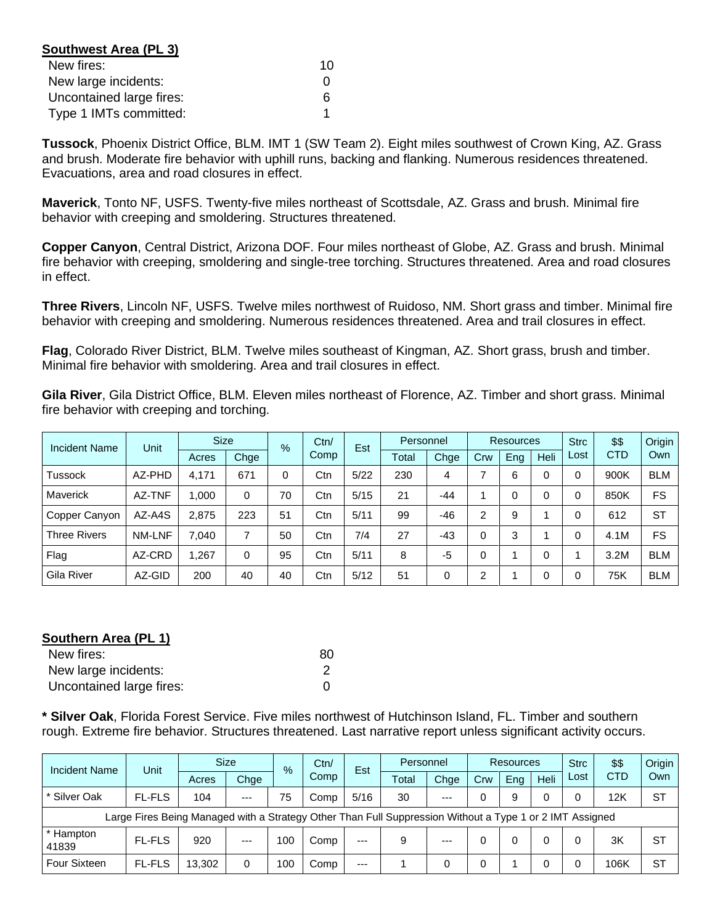| Southwest Area (PL 3)    |    |
|--------------------------|----|
| New fires:               | 10 |
| New large incidents:     |    |
| Uncontained large fires: |    |
| Type 1 IMTs committed:   |    |

**Tussock**, Phoenix District Office, BLM. IMT 1 (SW Team 2). Eight miles southwest of Crown King, AZ. Grass and brush. Moderate fire behavior with uphill runs, backing and flanking. Numerous residences threatened. Evacuations, area and road closures in effect.

**Maverick**, Tonto NF, USFS. Twenty-five miles northeast of Scottsdale, AZ. Grass and brush. Minimal fire behavior with creeping and smoldering. Structures threatened.

**Copper Canyon**, Central District, Arizona DOF. Four miles northeast of Globe, AZ. Grass and brush. Minimal fire behavior with creeping, smoldering and single-tree torching. Structures threatened. Area and road closures in effect.

**Three Rivers**, Lincoln NF, USFS. Twelve miles northwest of Ruidoso, NM. Short grass and timber. Minimal fire behavior with creeping and smoldering. Numerous residences threatened. Area and trail closures in effect.

**Flag**, Colorado River District, BLM. Twelve miles southeast of Kingman, AZ. Short grass, brush and timber. Minimal fire behavior with smoldering. Area and trail closures in effect.

**Gila River**, Gila District Office, BLM. Eleven miles northeast of Florence, AZ. Timber and short grass. Minimal fire behavior with creeping and torching.

| <b>Incident Name</b> | Unit   | <b>Size</b> |      | $\%$ | Ctn/ | Est  | Personnel |          | Resources      |     |      | <b>Strc</b> | \$\$       | Origin     |
|----------------------|--------|-------------|------|------|------|------|-----------|----------|----------------|-----|------|-------------|------------|------------|
|                      |        | Acres       | Chge |      | Comp |      | Total     | Chge     | Crw            | Ena | Heli | Lost        | <b>CTD</b> | Own        |
| <b>Tussock</b>       | AZ-PHD | 4.171       | 671  | 0    | Ctn  | 5/22 | 230       | 4        |                | 6   | 0    |             | 900K       | <b>BLM</b> |
| <b>Maverick</b>      | AZ-TNF | 1.000       | 0    | 70   | Ctn  | 5/15 | 21        | -44      |                | 0   | 0    |             | 850K       | FS         |
| Copper Canyon        | AZ-A4S | 2.875       | 223  | 51   | Ctn  | 5/11 | 99        | -46      | 2              | 9   |      |             | 612        | <b>ST</b>  |
| <b>Three Rivers</b>  | NM-LNF | 7.040       | 7    | 50   | Ctn  | 7/4  | 27        | -43      | $\Omega$       | 3   |      |             | 4.1M       | FS         |
| Flag                 | AZ-CRD | 1.267       | 0    | 95   | Ctn  | 5/11 | 8         | $-5$     | $\Omega$       |     | 0    |             | 3.2M       | <b>BLM</b> |
| Gila River           | AZ-GID | 200         | 40   | 40   | Ctn  | 5/12 | 51        | $\Omega$ | $\overline{2}$ |     | 0    |             | 75K        | <b>BLM</b> |

## **Southern Area (PL 1)**

| New fires:               | 80 |
|--------------------------|----|
| New large incidents:     |    |
| Uncontained large fires: |    |

**\* Silver Oak**, Florida Forest Service. Five miles northwest of Hutchinson Island, FL. Timber and southern rough. Extreme fire behavior. Structures threatened. Last narrative report unless significant activity occurs.

| <b>Incident Name</b> | Unit                                                                                                     |        | <b>Size</b><br>$\%$ |     | Ctn/ | Est   | Personnel |       | Resources |     |      | <b>Strc</b> | \$\$       | <b>Origin</b> |
|----------------------|----------------------------------------------------------------------------------------------------------|--------|---------------------|-----|------|-------|-----------|-------|-----------|-----|------|-------------|------------|---------------|
|                      |                                                                                                          | Acres  | Chge                |     | Comp |       | Total     | Chge  | Crw       | Eng | Heli | Lost        | <b>CTD</b> | Own           |
| * Silver Oak         | <b>FL-FLS</b>                                                                                            | 104    | $---$               | 75  | Comp | 5/16  | 30        | $--$  |           | 9   | 0    |             | 12K        | <b>ST</b>     |
|                      | Large Fires Being Managed with a Strategy Other Than Full Suppression Without a Type 1 or 2 IMT Assigned |        |                     |     |      |       |           |       |           |     |      |             |            |               |
| * Hampton<br>41839   | <b>FL-FLS</b>                                                                                            | 920    | $---$               | 100 | Comp | $---$ | 9         | $---$ |           |     | 0    |             | 3K         | -ST           |
| <b>Four Sixteen</b>  | <b>FL-FLS</b>                                                                                            | 13.302 | 0                   | 100 | Comp | $---$ |           | 0     |           |     | 0    |             | 106K       | <b>ST</b>     |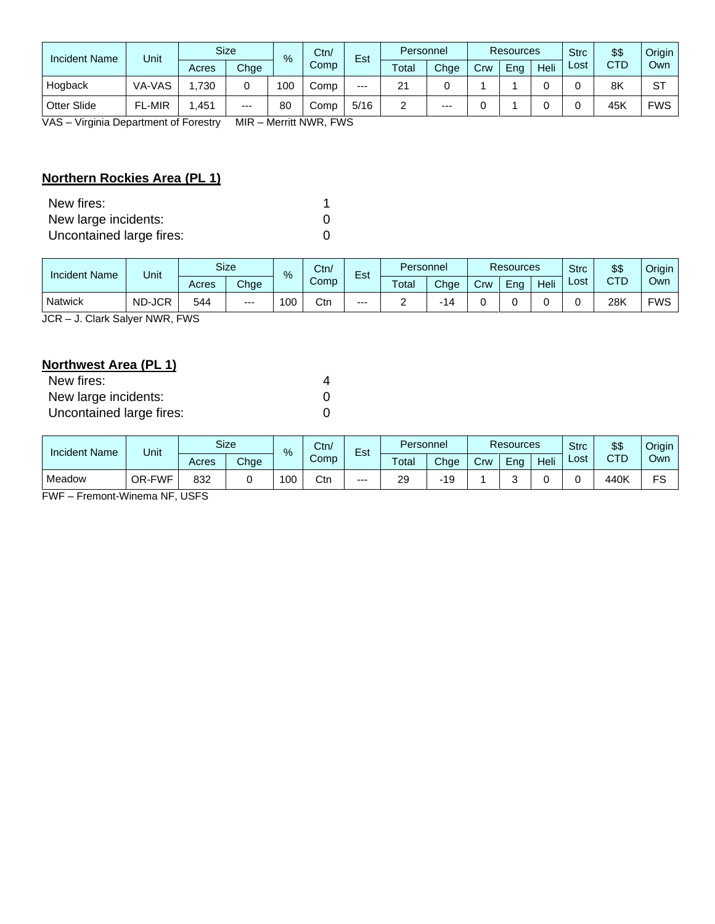| Incident Name      | Unit          | <b>Size</b> |       | $\%$ | Ctn/ | Est   | Personnel              |       | <b>Resources</b> |     |      | <b>Strc</b> | \$\$       | Origin     |
|--------------------|---------------|-------------|-------|------|------|-------|------------------------|-------|------------------|-----|------|-------------|------------|------------|
|                    |               | Acres       | Chge  |      | Comp |       | $\tau$ <sub>otal</sub> | Chge  | Crw              | Ena | Heli | Lost        | <b>CTD</b> | Own        |
| Hogback            | VA-VAS        | .730        |       | 100  | Comp | $---$ | 21                     |       |                  |     |      |             | 8K         | ST         |
| <b>Otter Slide</b> | <b>FL-MIR</b> | .451        | $---$ | 80   | Comp | 5/16  | _                      | $---$ |                  |     |      |             | 45K        | <b>FWS</b> |

VAS – Virginia Department of Forestry MIR – Merritt NWR, FWS

# **Northern Rockies Area (PL 1)**

| New fires:               |   |
|--------------------------|---|
| New large incidents:     | 0 |
| Uncontained large fires: | 0 |

| <b>Incident Name</b> | Unit   |       | <b>Size</b> | %   | Ctn/<br>Comp | $\overline{\phantom{0}}$<br>Est | Personnel |      | Resources |     |      | <b>Strc</b> | \$\$ | Origin     |
|----------------------|--------|-------|-------------|-----|--------------|---------------------------------|-----------|------|-----------|-----|------|-------------|------|------------|
|                      |        | Acres | Chge        |     |              |                                 | Total     | Chge | Crw       | Eng | Heli | ∟ost        | CTD  | Own        |
| Natwick              | ND-JCR | 544   | $---$       | 100 | Ctn          | $---$                           |           | ،14  |           |     |      |             | 28K  | <b>FWS</b> |

JCR – J. Clark Salyer NWR, FWS

# **Northwest Area (PL 1)**

| New fires:               |  |
|--------------------------|--|
| New large incidents:     |  |
| Uncontained large fires: |  |

| <b>Incident Name</b> | Unit   |       | Size | $\%$ | Ctn/ | $ -$ | Personnel |      | <b>Resources</b> |     |      | <b>Strc</b> | \$\$ | Origin |
|----------------------|--------|-------|------|------|------|------|-----------|------|------------------|-----|------|-------------|------|--------|
|                      |        | Acres | Chge |      | Comp | ESL  | Total     | Chae | Crw              | Ena | Heli | ∟ost        | CTD  | Own    |
| Meadow               | OR-FWF | 832   |      | 100  | Ctn  | $--$ | 29        | 19   |                  |     |      |             | 440K | FS     |

FWF – Fremont-Winema NF, USFS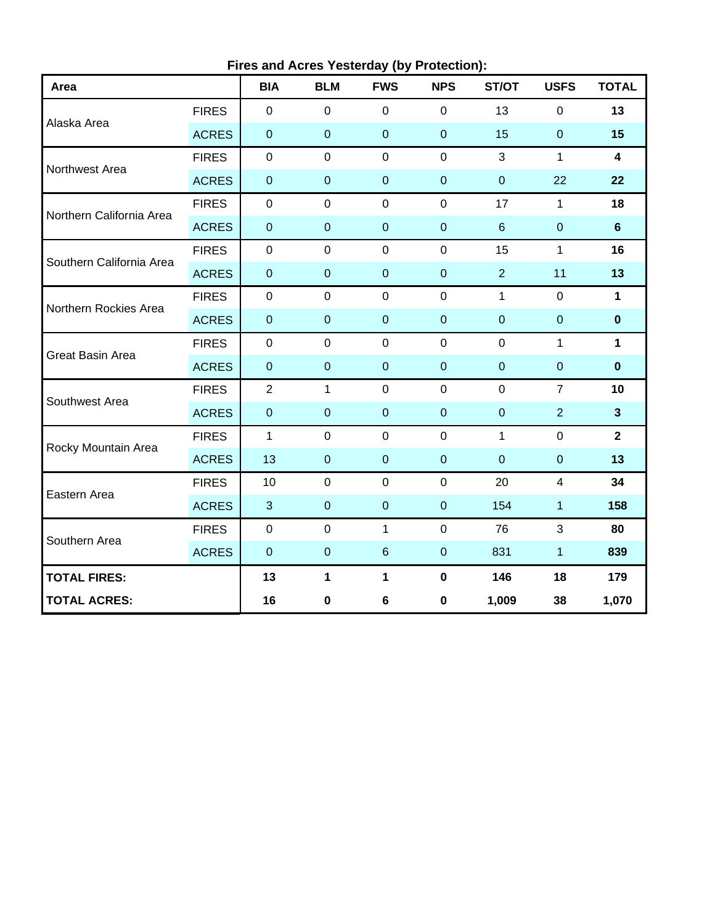| Area                     |              | <b>BIA</b>       | <b>BLM</b>     | <b>FWS</b>      | <b>NPS</b>       | ST/OT          | <b>USFS</b>      | <b>TOTAL</b>            |
|--------------------------|--------------|------------------|----------------|-----------------|------------------|----------------|------------------|-------------------------|
|                          | <b>FIRES</b> | $\mathbf 0$      | $\mathbf 0$    | $\mathbf 0$     | $\mathbf 0$      | 13             | 0                | 13                      |
| Alaska Area              | <b>ACRES</b> | $\pmb{0}$        | $\overline{0}$ | $\overline{0}$  | $\mathbf 0$      | 15             | $\boldsymbol{0}$ | 15                      |
|                          | <b>FIRES</b> | $\pmb{0}$        | $\mathbf 0$    | $\pmb{0}$       | $\mathbf 0$      | 3              | $\mathbf{1}$     | $\overline{\mathbf{4}}$ |
| Northwest Area           | <b>ACRES</b> | $\mathbf 0$      | $\mathbf 0$    | $\mathbf 0$     | $\mathbf 0$      | $\mathbf 0$    | 22               | 22                      |
| Northern California Area | <b>FIRES</b> | $\pmb{0}$        | $\mathbf 0$    | $\mathbf 0$     | $\mathbf{0}$     | 17             | 1                | 18                      |
|                          | <b>ACRES</b> | $\pmb{0}$        | $\pmb{0}$      | $\pmb{0}$       | $\pmb{0}$        | $\,6$          | $\boldsymbol{0}$ | $6\phantom{1}$          |
| Southern California Area | <b>FIRES</b> | $\pmb{0}$        | $\mathbf 0$    | $\mathbf 0$     | $\mathbf 0$      | 15             | $\mathbf{1}$     | 16                      |
|                          | <b>ACRES</b> | $\pmb{0}$        | $\mathbf 0$    | $\mathbf 0$     | $\mathbf 0$      | $\overline{2}$ | 11               | 13                      |
| Northern Rockies Area    | <b>FIRES</b> | $\pmb{0}$        | $\mathbf 0$    | $\mathbf 0$     | $\mathbf 0$      | $\mathbf{1}$   | 0                | $\mathbf 1$             |
|                          | <b>ACRES</b> | $\pmb{0}$        | $\pmb{0}$      | $\pmb{0}$       | $\mathbf 0$      | $\mathbf{0}$   | $\boldsymbol{0}$ | $\bf{0}$                |
| <b>Great Basin Area</b>  | <b>FIRES</b> | $\mathbf 0$      | $\mathbf 0$    | $\mathbf 0$     | $\overline{0}$   | $\mathbf 0$    | $\mathbf{1}$     | $\mathbf{1}$            |
|                          | <b>ACRES</b> | $\pmb{0}$        | $\mathbf 0$    | $\mathbf 0$     | $\boldsymbol{0}$ | $\overline{0}$ | $\pmb{0}$        | $\mathbf 0$             |
| Southwest Area           | <b>FIRES</b> | $\overline{2}$   | $\mathbf{1}$   | $\mathbf 0$     | $\mathbf 0$      | $\overline{0}$ | $\overline{7}$   | 10                      |
|                          | <b>ACRES</b> | $\pmb{0}$        | $\mathbf 0$    | $\overline{0}$  | $\mathbf{0}$     | $\mathbf{0}$   | $\overline{2}$   | $\mathbf{3}$            |
| Rocky Mountain Area      | <b>FIRES</b> | $\mathbf{1}$     | $\mathbf 0$    | $\mathbf 0$     | $\mathbf 0$      | $\mathbf{1}$   | $\mathbf 0$      | $\mathbf{2}$            |
|                          | <b>ACRES</b> | 13               | $\overline{0}$ | $\pmb{0}$       | $\boldsymbol{0}$ | $\overline{0}$ | $\pmb{0}$        | 13                      |
|                          | <b>FIRES</b> | 10               | $\overline{0}$ | $\mathbf 0$     | $\mathbf{0}$     | 20             | $\overline{4}$   | 34                      |
| Eastern Area             | <b>ACRES</b> | $\mathfrak{B}$   | $\mathbf 0$    | $\mathbf 0$     | $\mathbf 0$      | 154            | $\mathbf{1}$     | 158                     |
| Southern Area            | <b>FIRES</b> | $\pmb{0}$        | $\mathbf 0$    | 1               | $\mathbf 0$      | 76             | 3                | 80                      |
|                          | <b>ACRES</b> | $\boldsymbol{0}$ | $\mathbf 0$    | $6\phantom{1}6$ | $\mathbf 0$      | 831            | $\mathbf{1}$     | 839                     |
| <b>TOTAL FIRES:</b>      |              | 13               | $\mathbf{1}$   | 1               | $\mathbf 0$      | 146            | 18               | 179                     |
| <b>TOTAL ACRES:</b>      |              | 16               | 0              | 6               | $\pmb{0}$        | 1,009          | 38               | 1,070                   |

**Fires and Acres Yesterday (by Protection):**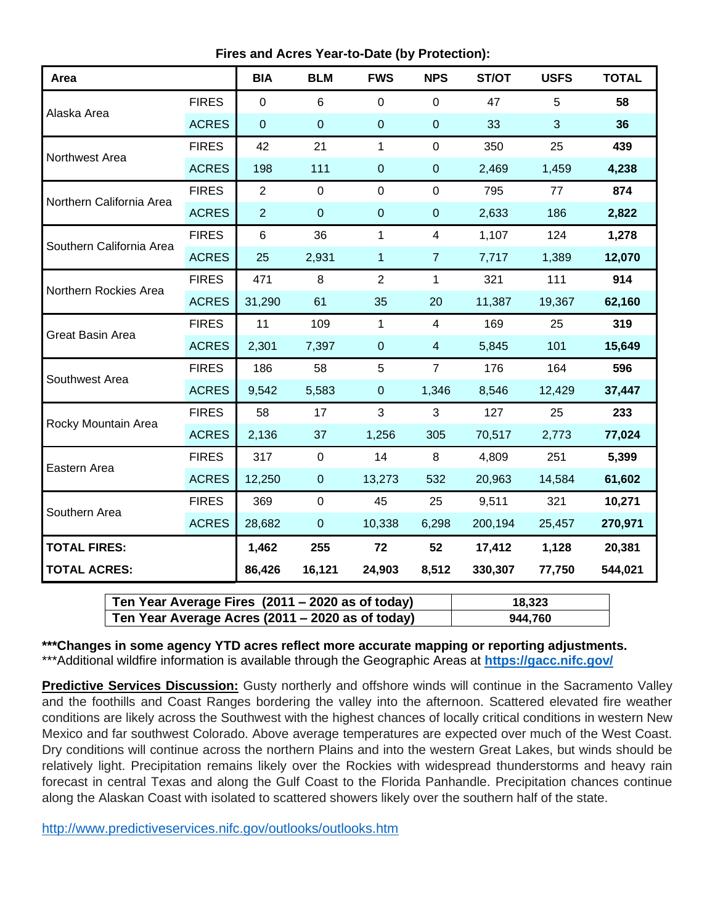**Fires and Acres Year-to-Date (by Protection):**

| Area                     |              | <b>BIA</b>     | <b>BLM</b>     | <b>FWS</b>     | <b>NPS</b>     | ST/OT   | <b>USFS</b> | <b>TOTAL</b> |
|--------------------------|--------------|----------------|----------------|----------------|----------------|---------|-------------|--------------|
| Alaska Area              | <b>FIRES</b> | $\mathbf 0$    | 6              | 0              | 0              | 47      | 5           | 58           |
|                          | <b>ACRES</b> | $\mathbf 0$    | $\mathbf 0$    | $\pmb{0}$      | $\pmb{0}$      | 33      | 3           | 36           |
| Northwest Area           | <b>FIRES</b> | 42             | 21             | $\mathbf{1}$   | $\mathbf 0$    | 350     | 25          | 439          |
|                          | <b>ACRES</b> | 198            | 111            | $\mathbf 0$    | $\pmb{0}$      | 2,469   | 1,459       | 4,238        |
| Northern California Area | <b>FIRES</b> | $\overline{2}$ | $\mathbf 0$    | $\mathbf 0$    | $\mathbf 0$    | 795     | 77          | 874          |
|                          | <b>ACRES</b> | $\overline{2}$ | $\mathbf 0$    | $\mathbf 0$    | $\mathbf 0$    | 2,633   | 186         | 2,822        |
| Southern California Area | <b>FIRES</b> | $\,6$          | 36             | 1              | 4              | 1,107   | 124         | 1,278        |
|                          | <b>ACRES</b> | 25             | 2,931          | 1              | $\overline{7}$ | 7,717   | 1,389       | 12,070       |
| Northern Rockies Area    | <b>FIRES</b> | 471            | 8              | $\overline{2}$ | 1              | 321     | 111         | 914          |
|                          | <b>ACRES</b> | 31,290         | 61             | 35             | 20             | 11,387  | 19,367      | 62,160       |
| <b>Great Basin Area</b>  | <b>FIRES</b> | 11             | 109            | $\mathbf{1}$   | $\overline{4}$ | 169     | 25          | 319          |
|                          | <b>ACRES</b> | 2,301          | 7,397          | $\mathbf 0$    | $\overline{4}$ | 5,845   | 101         | 15,649       |
| Southwest Area           | <b>FIRES</b> | 186            | 58             | 5              | $\overline{7}$ | 176     | 164         | 596          |
|                          | <b>ACRES</b> | 9,542          | 5,583          | $\mathbf 0$    | 1,346          | 8,546   | 12,429      | 37,447       |
| Rocky Mountain Area      | <b>FIRES</b> | 58             | 17             | 3              | 3              | 127     | 25          | 233          |
|                          | <b>ACRES</b> | 2,136          | 37             | 1,256          | 305            | 70,517  | 2,773       | 77,024       |
| Eastern Area             | <b>FIRES</b> | 317            | $\mathbf 0$    | 14             | 8              | 4,809   | 251         | 5,399        |
|                          | <b>ACRES</b> | 12,250         | $\pmb{0}$      | 13,273         | 532            | 20,963  | 14,584      | 61,602       |
| Southern Area            | <b>FIRES</b> | 369            | $\mathbf 0$    | 45             | 25             | 9,511   | 321         | 10,271       |
|                          | <b>ACRES</b> | 28,682         | $\overline{0}$ | 10,338         | 6,298          | 200,194 | 25,457      | 270,971      |
| <b>TOTAL FIRES:</b>      |              | 1,462          | 255            | 72             | 52             | 17,412  | 1,128       | 20,381       |
| <b>TOTAL ACRES:</b>      |              | 86,426         | 16,121         | 24,903         | 8,512          | 330,307 | 77,750      | 544,021      |

| Ten Year Average Fires (2011 – 2020 as of today) | 18.323  |
|--------------------------------------------------|---------|
| Ten Year Average Acres (2011 – 2020 as of today) | 944,760 |

**\*\*\*Changes in some agency YTD acres reflect more accurate mapping or reporting adjustments.** \*\*\*Additional wildfire information is available through the Geographic Areas at **<https://gacc.nifc.gov/>**

**Predictive Services Discussion:** Gusty northerly and offshore winds will continue in the Sacramento Valley and the foothills and Coast Ranges bordering the valley into the afternoon. Scattered elevated fire weather conditions are likely across the Southwest with the highest chances of locally critical conditions in western New Mexico and far southwest Colorado. Above average temperatures are expected over much of the West Coast. Dry conditions will continue across the northern Plains and into the western Great Lakes, but winds should be relatively light. Precipitation remains likely over the Rockies with widespread thunderstorms and heavy rain forecast in central Texas and along the Gulf Coast to the Florida Panhandle. Precipitation chances continue along the Alaskan Coast with isolated to scattered showers likely over the southern half of the state.

<http://www.predictiveservices.nifc.gov/outlooks/outlooks.htm>